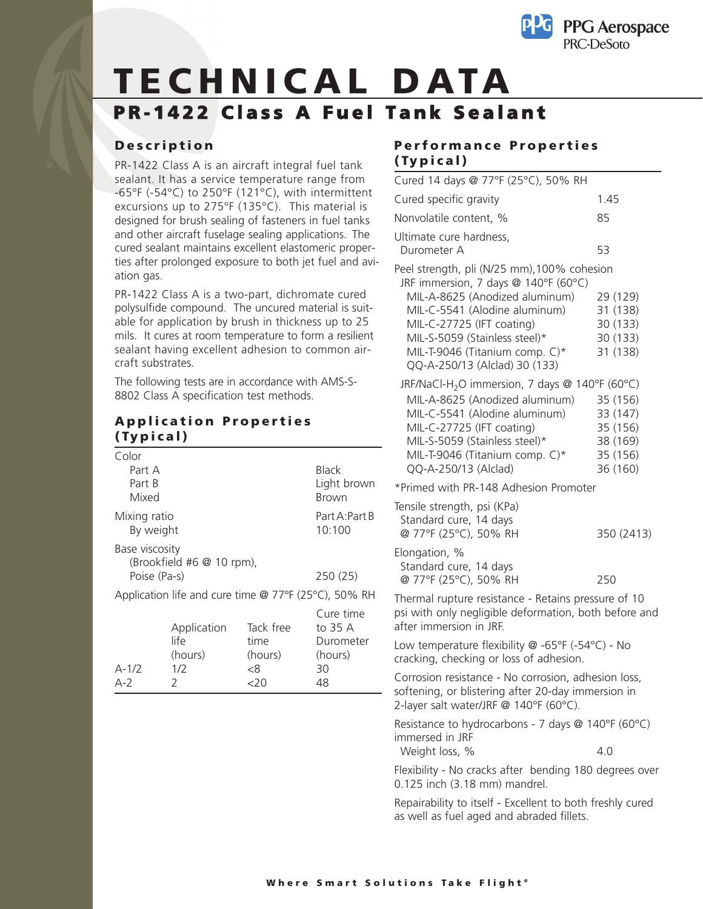

# **TECHNICAL DATA PR-1422 Class A Fuel Tank Sealant**

#### **Description**

PR-1422 Class A is an aircraft integral fuel tank sealant. It has a service temperature range from -65°F (-54°C) to 250°F (121°C), with intermittent excursions up to 275°F (135°C). This material is designed for brush sealing of fasteners in fuel tanks and other aircraft fuselage sealing applications. The cured sealant maintains excellent elastomeric properties after prolonged exposure to both jet fuel and aviation gas.

PR-1422 Class A is a two-part, dichromate cured polysulfide compound. The uncured material is suitable for application by brush in thickness up to 25 mils. It cures at room temperature to form a resilient sealant having excellent adhesion to common aircraft substrates.

The following tests are in accordance with AMS-S-8802 Class A specification test methods.

#### **Application Properties (Typical)**

| Color                     |                                                      |           |                             |
|---------------------------|------------------------------------------------------|-----------|-----------------------------|
| Part A                    |                                                      |           | Black                       |
| Part B<br>Mixed           |                                                      |           | Light brown<br><b>Brown</b> |
| Mixing ratio<br>By weight |                                                      |           | Part A:Part B<br>10:100     |
| Base viscosity            | (Brookfield #6 @ 10 rpm),                            |           |                             |
| Poise (Pa-s)              |                                                      |           | 250(25)                     |
|                           | Application life and cure time @ 77°F (25°C), 50% RH |           |                             |
|                           |                                                      |           | Cure time                   |
|                           | Application                                          | Tack free | to 35 A                     |
|                           | life                                                 | time      | Durometer                   |
|                           | (hours)                                              | (hours)   | (hours)                     |
| $A-1/2$                   | 1/2                                                  | -8        | 30                          |
| $A-2$                     | 2                                                    | <20       | 48                          |

### **Performance Properties (Typical)**

| Cured 14 days @ 77°F (25°C), 50% RH                                                                                                                                                                                                                                                                                                                   |                                                                      |
|-------------------------------------------------------------------------------------------------------------------------------------------------------------------------------------------------------------------------------------------------------------------------------------------------------------------------------------------------------|----------------------------------------------------------------------|
| Cured specific gravity                                                                                                                                                                                                                                                                                                                                | 1.45                                                                 |
| Nonvolatile content, %                                                                                                                                                                                                                                                                                                                                | 85                                                                   |
| Ultimate cure hardness,<br>Durometer A                                                                                                                                                                                                                                                                                                                | 53                                                                   |
| Peel strength, pli (N/25 mm), 100% cohesion<br>JRF immersion, 7 days @ 140°F (60°C)<br>MIL-A-8625 (Anodized aluminum)<br>MIL-C-5541 (Alodine aluminum)<br>MIL-C-27725 (IFT coating)<br>MIL-S-5059 (Stainless steel)*<br>MIL-T-9046 (Titanium comp. C)*<br>QQ-A-250/13 (Alclad) 30 (133)<br>JRF/NaCl-H <sub>2</sub> O immersion, 7 days @ 140°F (60°C) | 29 (129)<br>31 (138)<br>30 (133)<br>30 (133)<br>31 (138)             |
| MIL-A-8625 (Anodized aluminum)<br>MIL-C-5541 (Alodine aluminum)<br>MIL-C-27725 (IFT coating)<br>MIL-S-5059 (Stainless steel)*<br>MIL-T-9046 (Titanium comp. C)*<br>QQ-A-250/13 (Alclad)                                                                                                                                                               | 35 (156)<br>33 (147)<br>35 (156)<br>38 (169)<br>35 (156)<br>36 (160) |
| *Primed with PR-148 Adhesion Promoter                                                                                                                                                                                                                                                                                                                 |                                                                      |
| Tensile strength, psi (KPa)<br>Standard cure, 14 days<br>@ 77°F (25°C), 50% RH<br>Elongation, %<br>Standard cure, 14 days                                                                                                                                                                                                                             | 350 (2413)                                                           |
| @ 77°F (25°C), 50% RH                                                                                                                                                                                                                                                                                                                                 | 250                                                                  |
| Thermal rupture resistance - Retains pressure of 10<br>psi with only negligible deformation, both before and<br>after immersion in JRF.                                                                                                                                                                                                               |                                                                      |
| Low temperature flexibility @ -65°F (-54°C) - No<br>cracking, checking or loss of adhesion.                                                                                                                                                                                                                                                           |                                                                      |
| Corrosion resistance - No corrosion, adhesion loss,<br>softening, or blistering after 20-day immersion in<br>2-layer salt water/JRF @ 140°F (60°C).                                                                                                                                                                                                   |                                                                      |
| Resistance to hydrocarbons - 7 days @ 140°F (60°C)<br>immersed in JRF<br>Weight loss, %                                                                                                                                                                                                                                                               | 4.0                                                                  |
| Flexibility - No cracks after bending 180 degrees over<br>0.125 inch (3.18 mm) mandrel.                                                                                                                                                                                                                                                               |                                                                      |

Repairability to itself - Excellent to both freshly cured as well as fuel aged and abraded fillets.